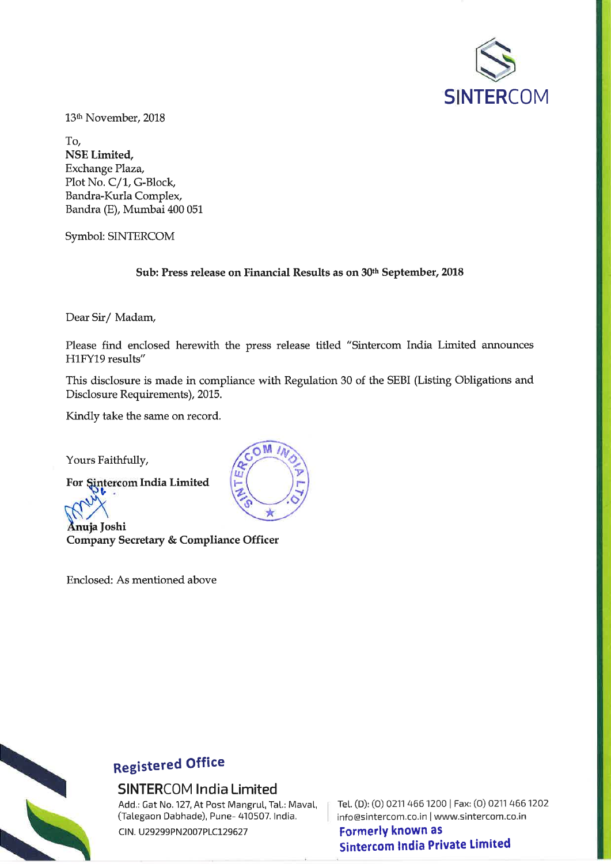

13<sup>th</sup> November, 2018

To, NSE Limited, Exchange Plaza, Plot No. C/1, G-Block, Bandra-Kurla Complex, Bandra (E), Mumbai 400 051

Symbol: SINTERCOM

Sub: Press release on Financial Results as on 30th September, 2018

Dear Sir/Madam,

Please find enclosed herewith the press release titled "Sintercom India Limited announces H1FY19 results"

This disclosure is made in compliance with Regulation 30 of the SEBI (Listing Obligations and Disclosure Requirements), 2015.

Kindly take the same on record.

Yours Faithfully,

For Sintercom India Limited

Anuja Joshi Company Secretary & Compliance Officer

Enclosed: As mentioned above





# **Registered Office**

## **SINTERCOM India Limited**

Add.: Gat No. 127, At Post Mangrul, Tal.: Maval, (Talegaon Dabhade), Pune- 410507. India.

CIN. U29299PN2007PLC129627

Tel. (D): (0) 0211 466 1200 | Fax: (0) 0211 466 1202 info@sintercom.co.in | www.sintercom.co.in **Formerly known as Sintercom India Private Limited**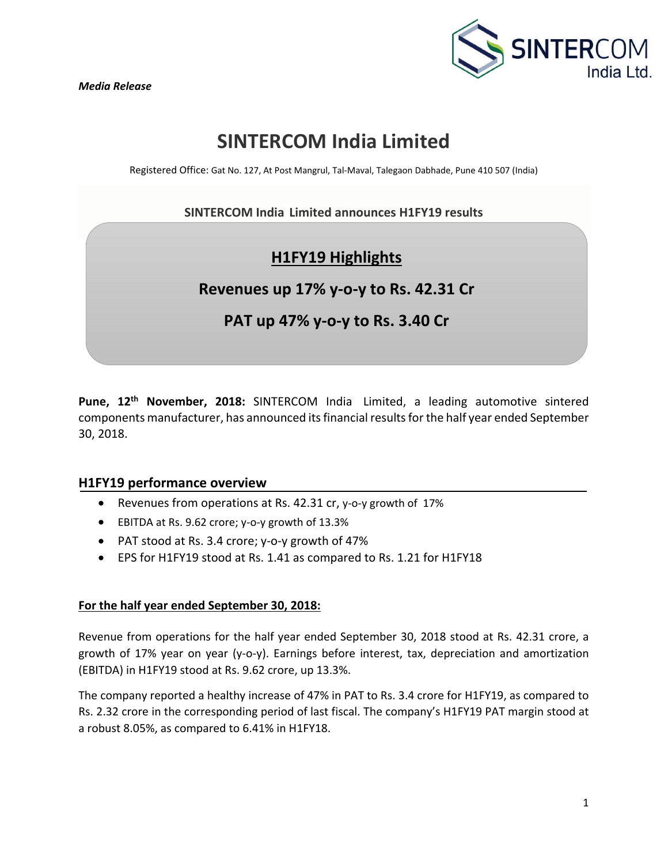

## **SINTERCOM India Limited**

Registered Office: Gat No. 127, At Post Mangrul, Tal‐Maval, Talegaon Dabhade, Pune 410 507 (India)

## **SINTERCOM India Limited announces H1FY19 results**

## **H1FY19 Highlights**

## **Revenues up 17% y‐o‐y to Rs. 42.31 Cr**

## **PAT up 47% y‐o‐y to Rs. 3.40 Cr**

Pune, 12<sup>th</sup> November, 2018: SINTERCOM India Limited, a leading automotive sintered components manufacturer, has announced its financial results for the half year ended September 30, 2018.

### **H1FY19 performance overview**

- Revenues from operations at Rs. 42.31 cr, y‐o‐y growth of 17%
- EBITDA at Rs. 9.62 crore; y‐o‐y growth of 13.3%
- PAT stood at Rs. 3.4 crore; y‐o‐y growth of 47%
- EPS for H1FY19 stood at Rs. 1.41 as compared to Rs. 1.21 for H1FY18

### **For the half year ended September 30, 2018:**

Revenue from operations for the half year ended September 30, 2018 stood at Rs. 42.31 crore, a growth of 17% year on year (y‐o‐y). Earnings before interest, tax, depreciation and amortization (EBITDA) in H1FY19 stood at Rs. 9.62 crore, up 13.3%.

The company reported a healthy increase of 47% in PAT to Rs. 3.4 crore for H1FY19, as compared to Rs. 2.32 crore in the corresponding period of last fiscal. The company's H1FY19 PAT margin stood at a robust 8.05%, as compared to 6.41% in H1FY18.